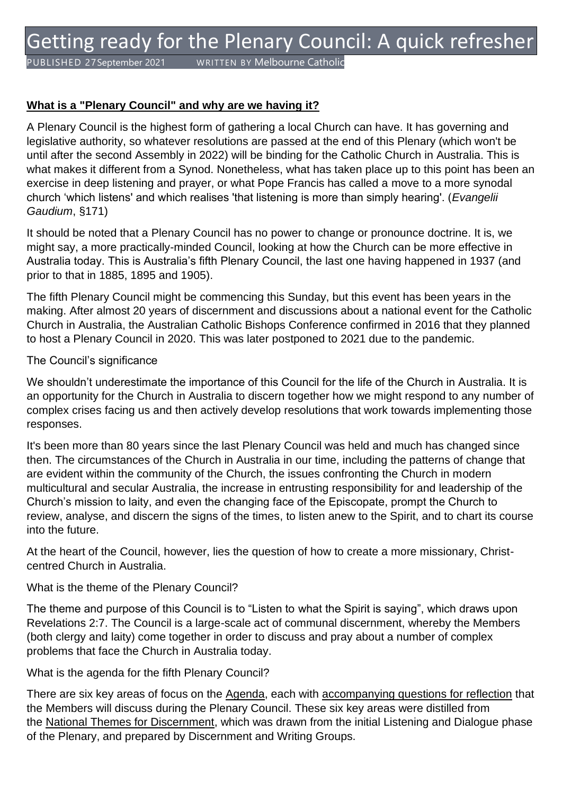PUBLISHED 27September 2021 WRITTEN BY Melbourne Catholic

## **What is a "Plenary Council" and why are we having it?**

A Plenary Council is the highest form of gathering a local Church can have. It has governing and legislative authority, so whatever resolutions are passed at the end of this Plenary (which won't be until after the second Assembly in 2022) will be binding for the Catholic Church in Australia. This is what makes it different from a Synod. Nonetheless, what has taken place up to this point has been an exercise in deep listening and prayer, or what Pope Francis has called a move to a more synodal church 'which listens' and which realises 'that listening is more than simply hearing'. (*Evangelii Gaudium*, §171)

It should be noted that a Plenary Council has no power to change or pronounce doctrine. It is, we might say, a more practically-minded Council, looking at how the Church can be more effective in Australia today. This is Australia's fifth Plenary Council, the last one having happened in 1937 (and prior to that in 1885, 1895 and 1905).

The fifth Plenary Council might be commencing this Sunday, but this event has been years in the making. After almost 20 years of discernment and discussions about a national event for the Catholic Church in Australia, the Australian Catholic Bishops Conference confirmed in 2016 that they planned to host a Plenary Council in 2020. This was later postponed to 2021 due to the pandemic.

#### The Council's significance

We shouldn't underestimate the importance of this Council for the life of the Church in Australia. It is an opportunity for the Church in Australia to discern together how we might respond to any number of complex crises facing us and then actively develop resolutions that work towards implementing those responses.

It's been more than 80 years since the last Plenary Council was held and much has changed since then. The circumstances of the Church in Australia in our time, including the patterns of change that are evident within the community of the Church, the issues confronting the Church in modern multicultural and secular Australia, the increase in entrusting responsibility for and leadership of the Church's mission to laity, and even the changing face of the Episcopate, prompt the Church to review, analyse, and discern the signs of the times, to listen anew to the Spirit, and to chart its course into the future.

At the heart of the Council, however, lies the question of how to create a more missionary, Christcentred Church in Australia.

#### What is the theme of the Plenary Council?

The theme and purpose of this Council is to "Listen to what the Spirit is saying", which draws upon Revelations 2:7. The Council is a large-scale act of communal discernment, whereby the Members (both clergy and laity) come together in order to discuss and pray about a number of complex problems that face the Church in Australia today.

#### What is the agenda for the fifth Plenary Council?

There are six key areas of focus on the [Agenda,](https://plenarycouncil.catholic.org.au/wp-content/uploads/2021/06/Plenary-Council-Agenda.pdf) each with [accompanying questions for reflection](https://plenarycouncil.catholic.org.au/wp-content/uploads/2021/06/Plenary-Council-Agenda.pdf) that the Members will discuss during the Plenary Council. These six key areas were distilled from the [National Themes for Discernment,](https://plenarycouncil.catholic.org.au/continuing-the-journey-of-discernment/) which was drawn from the initial Listening and Dialogue phase of the Plenary, and prepared by Discernment and Writing Groups.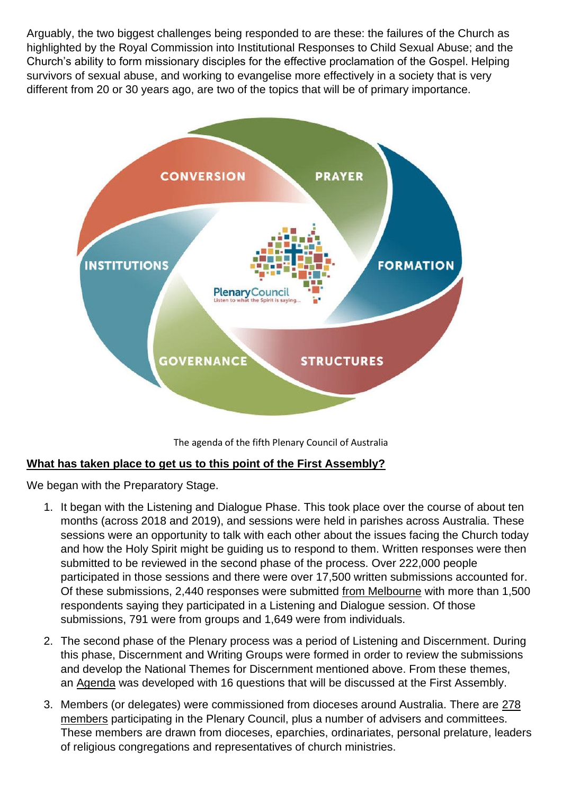Arguably, the two biggest challenges being responded to are these: the failures of the Church as highlighted by the Royal Commission into Institutional Responses to Child Sexual Abuse; and the Church's ability to form missionary disciples for the effective proclamation of the Gospel. Helping survivors of sexual abuse, and working to evangelise more effectively in a society that is very different from 20 or 30 years ago, are two of the topics that will be of primary importance.



The agenda of the fifth Plenary Council of Australia

## **What has taken place to get us to this point of the First Assembly?**

We began with the Preparatory Stage.

- 1. It began with the Listening and Dialogue Phase. This took place over the course of about ten months (across 2018 and 2019), and sessions were held in parishes across Australia. These sessions were an opportunity to talk with each other about the issues facing the Church today and how the Holy Spirit might be guiding us to respond to them. Written responses were then submitted to be reviewed in the second phase of the process. Over 222,000 people participated in those sessions and there were over 17,500 written submissions accounted for. Of these submissions, 2,440 responses were submitted [from Melbourne](https://plenarycouncil.catholic.org.au/wp-content/uploads/2020/03/Diocesan-Final-Report-Phase-1-Melbourne.pdf) with more than 1,500 respondents saying they participated in a Listening and Dialogue session. Of those submissions, 791 were from groups and 1,649 were from individuals.
- 2. The second phase of the Plenary process was a period of Listening and Discernment. During this phase, Discernment and Writing Groups were formed in order to review the submissions and develop the National Themes for Discernment mentioned above. From these themes, an [Agenda](https://plenarycouncil.catholic.org.au/wp-content/uploads/2021/06/Plenary-Council-Agenda.pdf) was developed with 16 questions that will be discussed at the First Assembly.
- 3. Members (or delegates) were commissioned from dioceses around Australia. There are [278](https://plenarycouncil.catholic.org.au/members/)  [members](https://plenarycouncil.catholic.org.au/members/) participating in the Plenary Council, plus a number of advisers and committees. These members are drawn from dioceses, eparchies, ordinariates, personal prelature, leaders of religious congregations and representatives of church ministries.